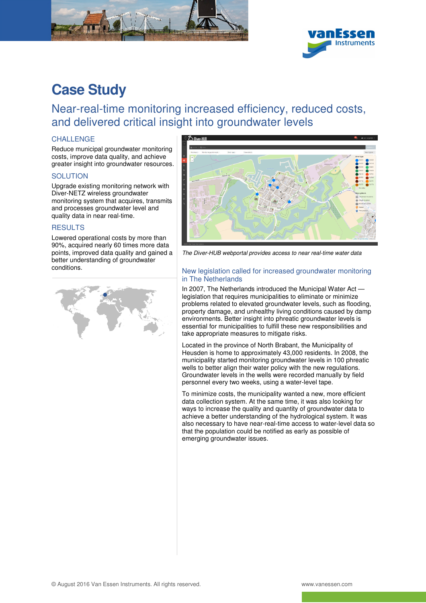



# **Case Study**

Near-real-time monitoring increased efficiency, reduced costs, and delivered critical insight into groundwater levels

## **CHALLENGE**

Reduce municipal groundwater monitoring costs, improve data quality, and achieve greater insight into groundwater resources.

### **SOLUTION**

Upgrade existing monitoring network with Diver-NETZ wireless groundwater monitoring system that acquires, transmits and processes groundwater level and quality data in near real-time.

### RESULTS

Lowered operational costs by more than 90%, acquired nearly 60 times more data points, improved data quality and gained a better understanding of groundwater conditions.





The Diver-HUB webportal provides access to near real-time water data

#### New legislation called for increased groundwater monitoring in The Netherlands

In 2007, The Netherlands introduced the Municipal Water Act legislation that requires municipalities to eliminate or minimize problems related to elevated groundwater levels, such as flooding, property damage, and unhealthy living conditions caused by damp environments. Better insight into phreatic groundwater levels is essential for municipalities to fulfill these new responsibilities and take appropriate measures to mitigate risks.

Located in the province of North Brabant, the Municipality of Heusden is home to approximately 43,000 residents. In 2008, the municipality started monitoring groundwater levels in 100 phreatic wells to better align their water policy with the new regulations. Groundwater levels in the wells were recorded manually by field personnel every two weeks, using a water-level tape.

To minimize costs, the municipality wanted a new, more efficient data collection system. At the same time, it was also looking for ways to increase the quality and quantity of groundwater data to achieve a better understanding of the hydrological system. It was also necessary to have near-real-time access to water-level data so that the population could be notified as early as possible of emerging groundwater issues.